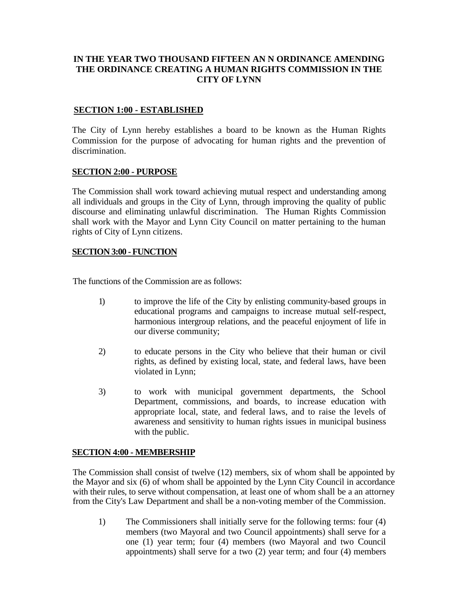# **IN THE YEAR TWO THOUSAND FIFTEEN AN N ORDINANCE AMENDING THE ORDINANCE CREATING A HUMAN RIGHTS COMMISSION IN THE CITY OF LYNN**

#### **SECTION 1:00 - ESTABLISHED**

The City of Lynn hereby establishes a board to be known as the Human Rights Commission for the purpose of advocating for human rights and the prevention of discrimination.

#### **SECTION 2:00 - PURPOSE**

The Commission shall work toward achieving mutual respect and understanding among all individuals and groups in the City of Lynn, through improving the quality of public discourse and eliminating unlawful discrimination. The Human Rights Commission shall work with the Mayor and Lynn City Council on matter pertaining to the human rights of City of Lynn citizens.

#### **SECTION 3:00 - FUNCTION**

The functions of the Commission are as follows:

- 1) to improve the life of the City by enlisting community-based groups in educational programs and campaigns to increase mutual self-respect, harmonious intergroup relations, and the peaceful enjoyment of life in our diverse community;
- 2) to educate persons in the City who believe that their human or civil rights, as defined by existing local, state, and federal laws, have been violated in Lynn;
- 3) to work with municipal government departments, the School Department, commissions, and boards, to increase education with appropriate local, state, and federal laws, and to raise the levels of awareness and sensitivity to human rights issues in municipal business with the public.

### **SECTION 4:00 - MEMBERSHIP**

The Commission shall consist of twelve (12) members, six of whom shall be appointed by the Mayor and six (6) of whom shall be appointed by the Lynn City Council in accordance with their rules, to serve without compensation, at least one of whom shall be a an attorney from the City's Law Department and shall be a non-voting member of the Commission.

1) The Commissioners shall initially serve for the following terms: four (4) members (two Mayoral and two Council appointments) shall serve for a one (1) year term; four (4) members (two Mayoral and two Council appointments) shall serve for a two (2) year term; and four (4) members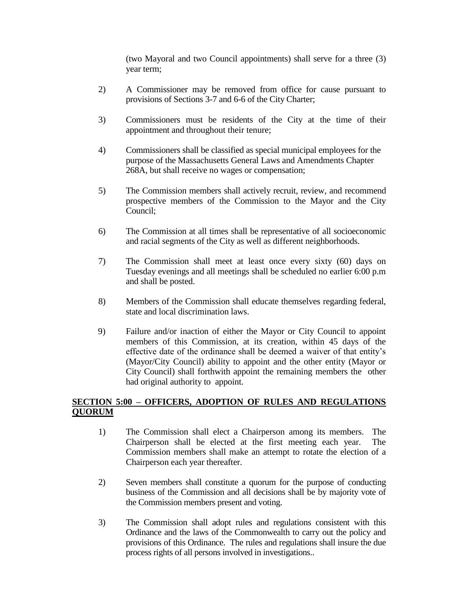(two Mayoral and two Council appointments) shall serve for a three (3) year term;

- 2) A Commissioner may be removed from office for cause pursuant to provisions of Sections 3-7 and 6-6 of the City Charter;
- 3) Commissioners must be residents of the City at the time of their appointment and throughout their tenure;
- 4) Commissioners shall be classified as special municipal employees for the purpose of the Massachusetts General Laws and Amendments Chapter 268A, but shall receive no wages or compensation;
- 5) The Commission members shall actively recruit, review, and recommend prospective members of the Commission to the Mayor and the City Council;
- 6) The Commission at all times shall be representative of all socioeconomic and racial segments of the City as well as different neighborhoods.
- 7) The Commission shall meet at least once every sixty (60) days on Tuesday evenings and all meetings shall be scheduled no earlier 6:00 p.m and shall be posted.
- 8) Members of the Commission shall educate themselves regarding federal, state and local discrimination laws.
- 9) Failure and/or inaction of either the Mayor or City Council to appoint members of this Commission, at its creation, within 45 days of the effective date of the ordinance shall be deemed a waiver of that entity's (Mayor/City Council) ability to appoint and the other entity (Mayor or City Council) shall forthwith appoint the remaining members the other had original authority to appoint.

# **SECTION 5:00 – OFFICERS, ADOPTION OF RULES AND REGULATIONS QUORUM**

- 1) The Commission shall elect a Chairperson among its members. The Chairperson shall be elected at the first meeting each year. The Commission members shall make an attempt to rotate the election of a Chairperson each year thereafter.
- 2) Seven members shall constitute a quorum for the purpose of conducting business of the Commission and all decisions shall be by majority vote of the Commission members present and voting.
- 3) The Commission shall adopt rules and regulations consistent with this Ordinance and the laws of the Commonwealth to carry out the policy and provisions of this Ordinance. The rules and regulations shall insure the due process rights of all persons involved in investigations..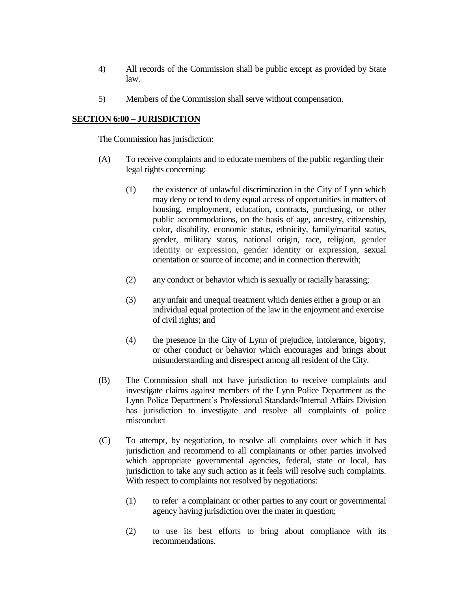- 4) All records of the Commission shall be public except as provided by State law.
- 5) Members of the Commission shall serve without compensation.

### **SECTION 6:00 – JURISDICTION**

The Commission has jurisdiction:

- (A) To receive complaints and to educate members of the public regarding their legal rights concerning:
	- (1) the existence of unlawful discrimination in the City of Lynn which may deny or tend to deny equal access of opportunities in matters of housing, employment, education, contracts, purchasing, or other public accommodations, on the basis of age, ancestry, citizenship, color, disability, economic status, ethnicity, family/marital status, gender, military status, national origin, race, religion, gender identity or expression, gender identity or expression, sexual orientation or source of income; and in connection therewith;
	- (2) any conduct or behavior which is sexually or racially harassing;
	- (3) any unfair and unequal treatment which denies either a group or an individual equal protection of the law in the enjoyment and exercise of civil rights; and
	- (4) the presence in the City of Lynn of prejudice, intolerance, bigotry, or other conduct or behavior which encourages and brings about misunderstanding and disrespect among all resident of the City.
- (B) The Commission shall not have jurisdiction to receive complaints and investigate claims against members of the Lynn Police Department as the Lynn Police Department's Professional Standards/Internal Affairs Division has jurisdiction to investigate and resolve all complaints of police misconduct
- (C) To attempt, by negotiation, to resolve all complaints over which it has jurisdiction and recommend to all complainants or other parties involved which appropriate governmental agencies, federal, state or local, has jurisdiction to take any such action as it feels will resolve such complaints. With respect to complaints not resolved by negotiations:
	- (1) to refer a complainant or other parties to any court or governmental agency having jurisdiction over the mater in question;
	- (2) to use its best efforts to bring about compliance with its recommendations.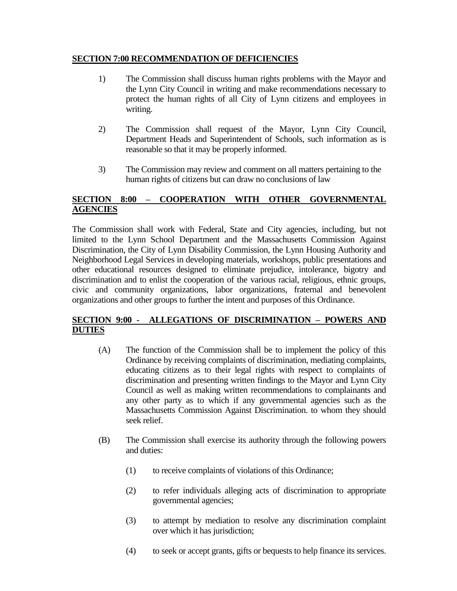### **SECTION 7:00 RECOMMENDATION OF DEFICIENCIES**

- 1) The Commission shall discuss human rights problems with the Mayor and the Lynn City Council in writing and make recommendations necessary to protect the human rights of all City of Lynn citizens and employees in writing.
- 2) The Commission shall request of the Mayor, Lynn City Council, Department Heads and Superintendent of Schools, such information as is reasonable so that it may be properly informed.
- 3) The Commission may review and comment on all matters pertaining to the human rights of citizens but can draw no conclusions of law

# **SECTION 8:00 – COOPERATION WITH OTHER GOVERNMENTAL AGENCIES**

The Commission shall work with Federal, State and City agencies, including, but not limited to the Lynn School Department and the Massachusetts Commission Against Discrimination, the City of Lynn Disability Commission, the Lynn Housing Authority and Neighborhood Legal Services in developing materials, workshops, public presentations and other educational resources designed to eliminate prejudice, intolerance, bigotry and discrimination and to enlist the cooperation of the various racial, religious, ethnic groups, civic and community organizations, labor organizations, fraternal and benevolent organizations and other groups to further the intent and purposes of this Ordinance.

# **SECTION 9:00 - ALLEGATIONS OF DISCRIMINATION – POWERS AND DUTIES**

- (A) The function of the Commission shall be to implement the policy of this Ordinance by receiving complaints of discrimination, mediating complaints, educating citizens as to their legal rights with respect to complaints of discrimination and presenting written findings to the Mayor and Lynn City Council as well as making written recommendations to complainants and any other party as to which if any governmental agencies such as the Massachusetts Commission Against Discrimination. to whom they should seek relief.
- (B) The Commission shall exercise its authority through the following powers and duties:
	- (1) to receive complaints of violations of this Ordinance;
	- (2) to refer individuals alleging acts of discrimination to appropriate governmental agencies;
	- (3) to attempt by mediation to resolve any discrimination complaint over which it has jurisdiction;
	- (4) to seek or accept grants, gifts or bequests to help finance its services.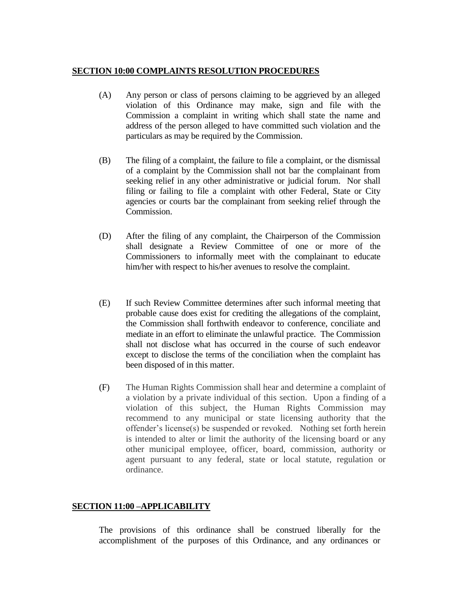### **SECTION 10:00 COMPLAINTS RESOLUTION PROCEDURES**

- (A) Any person or class of persons claiming to be aggrieved by an alleged violation of this Ordinance may make, sign and file with the Commission a complaint in writing which shall state the name and address of the person alleged to have committed such violation and the particulars as may be required by the Commission.
- (B) The filing of a complaint, the failure to file a complaint, or the dismissal of a complaint by the Commission shall not bar the complainant from seeking relief in any other administrative or judicial forum. Nor shall filing or failing to file a complaint with other Federal, State or City agencies or courts bar the complainant from seeking relief through the Commission.
- (D) After the filing of any complaint, the Chairperson of the Commission shall designate a Review Committee of one or more of the Commissioners to informally meet with the complainant to educate him/her with respect to his/her avenues to resolve the complaint.
- (E) If such Review Committee determines after such informal meeting that probable cause does exist for crediting the allegations of the complaint, the Commission shall forthwith endeavor to conference, conciliate and mediate in an effort to eliminate the unlawful practice. The Commission shall not disclose what has occurred in the course of such endeavor except to disclose the terms of the conciliation when the complaint has been disposed of in this matter.
- (F) The Human Rights Commission shall hear and determine a complaint of a violation by a private individual of this section. Upon a finding of a violation of this subject, the Human Rights Commission may recommend to any municipal or state licensing authority that the offender's license(s) be suspended or revoked. Nothing set forth herein is intended to alter or limit the authority of the licensing board or any other municipal employee, officer, board, commission, authority or agent pursuant to any federal, state or local statute, regulation or ordinance.

# **SECTION 11:00 –APPLICABILITY**

The provisions of this ordinance shall be construed liberally for the accomplishment of the purposes of this Ordinance, and any ordinances or